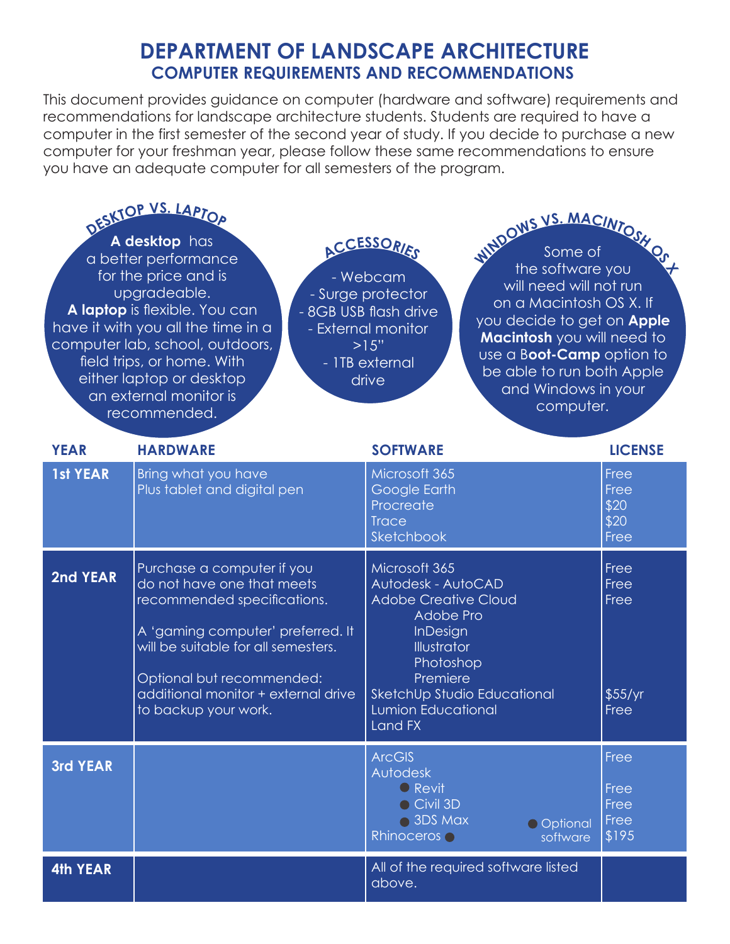## **DEPARTMENT OF LANDSCAPE ARCHITECTURE COMPUTER REQUIREMENTS AND RECOMMENDATIONS**

This document provides guidance on computer (hardware and software) requirements and recommendations for landscape architecture students. Students are required to have a computer in the first semester of the second year of study. If you decide to purchase a new computer for your freshman year, please follow these same recommendations to ensure you have an adequate computer for all semesters of the program.

| DESKTOP VS. LAPTOP<br>A desktop has<br>a better performance<br>for the price and is<br>upgradeable.<br>A laptop is flexible. You can<br>have it with you all the time in a<br>computer lab, school, outdoors,<br>field trips, or home. With<br>- ITB external<br>either laptop or desktop<br>an external monitor is<br>recommended. |                                                                                                                                                                                                                                                                 | ACCESSORIES<br>- Webcam<br>- Surge protector<br>- 8GB USB flash drive<br>- External monitor<br>>15"<br>drive                                                                                                      | WADOWS VS. MACINTOSH<br>the software you<br>will need will not run<br>on a Macintosh OS X. If<br>you decide to get on <b>Apple</b><br>Macintosh you will need to<br>use a Boot-Camp option to<br>be able to run both Apple<br>and Windows in your<br>computer. |  |
|-------------------------------------------------------------------------------------------------------------------------------------------------------------------------------------------------------------------------------------------------------------------------------------------------------------------------------------|-----------------------------------------------------------------------------------------------------------------------------------------------------------------------------------------------------------------------------------------------------------------|-------------------------------------------------------------------------------------------------------------------------------------------------------------------------------------------------------------------|----------------------------------------------------------------------------------------------------------------------------------------------------------------------------------------------------------------------------------------------------------------|--|
| <b>YEAR</b>                                                                                                                                                                                                                                                                                                                         | <b>HARDWARE</b>                                                                                                                                                                                                                                                 | <b>SOFTWARE</b>                                                                                                                                                                                                   | <b>LICENSE</b>                                                                                                                                                                                                                                                 |  |
| <b>1st YEAR</b>                                                                                                                                                                                                                                                                                                                     | Bring what you have<br>Plus tablet and digital pen                                                                                                                                                                                                              | Microsoft 365<br>Google Earth<br>Procreate<br><b>Trace</b><br>Sketchbook                                                                                                                                          | Free<br>Free<br>\$20<br>\$20<br>Free                                                                                                                                                                                                                           |  |
| 2nd YEAR                                                                                                                                                                                                                                                                                                                            | Purchase a computer if you<br>do not have one that meets<br>recommended specifications.<br>A 'gaming computer' preferred. It<br>will be suitable for all semesters.<br>Optional but recommended:<br>additional monitor + external drive<br>to backup your work. | Microsoft 365<br>Autodesk - AutoCAD<br><b>Adobe Creative Cloud</b><br>Adobe Pro<br>InDesign<br>Illustrator<br>Photoshop<br>Premiere<br>SketchUp Studio Educational<br><b>Lumion Educational</b><br><b>Land FX</b> | Free<br>Free<br>Free<br>\$55/yr<br>Free                                                                                                                                                                                                                        |  |
| <b>3rd YEAR</b>                                                                                                                                                                                                                                                                                                                     |                                                                                                                                                                                                                                                                 | <b>ArcGIS</b><br>Autodesk<br><b>O</b> Revit<br>Civil 3D<br>● 3DS Max<br>O Optional<br>Rhinoceros o<br>software                                                                                                    | Free<br>Free<br>Free<br>Free<br>\$195                                                                                                                                                                                                                          |  |
| <b>4th YEAR</b>                                                                                                                                                                                                                                                                                                                     |                                                                                                                                                                                                                                                                 | All of the required software listed<br>above.                                                                                                                                                                     |                                                                                                                                                                                                                                                                |  |